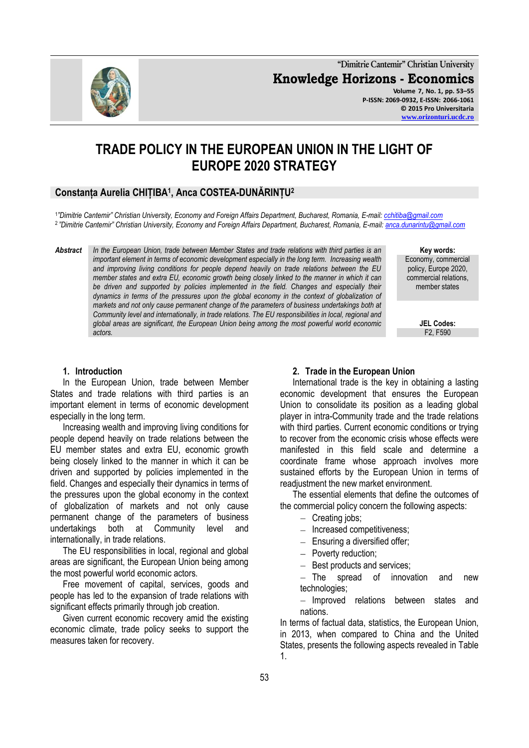

**"Dimitrie Cantemir" Christian University Knowledge Horizons - Economics Volume 7, No. 1, pp. 53–55 P-ISSN: 2069-0932, E-ISSN: 2066-1061 © 2015 Pro Universitaria**

**[www.orizonturi.ucdc.ro](http://www.orizonturi.ucdc.ro/)**

# **TRADE POLICY IN THE EUROPEAN UNION IN THE LIGHT OF EUROPE 2020 STRATEGY**

# **Constanța Aurelia CHIȚIBA<sup>1</sup> , Anca COSTEA-DUNĂRINȚU<sup>2</sup>**

1 *"Dimitrie Cantemir" Christian University, Economy and Foreign Affairs Department, Bucharest, Romania, E-mail[: cchitiba@gmail.com](mailto:cchitiba@gmail.com)* 2 *"Dimitrie Cantemir" Christian University, Economy and Foreign Affairs Department, Bucharest, Romania, E-mail[: anca.dunarintu@gmail.com](mailto:anca.dunarintu@gmail.com)*

*Abstract In the European Union, trade between Member States and trade relations with third parties is an important element in terms of economic development especially in the long term. Increasing wealth and improving living conditions for people depend heavily on trade relations between the EU member states and extra EU, economic growth being closely linked to the manner in which it can*  be driven and supported by policies implemented in the field. Changes and especially their *dynamics in terms of the pressures upon the global economy in the context of globalization of markets and not only cause permanent change of the parameters of business undertakings both at Community level and internationally, in trade relations. The EU responsibilities in local, regional and global areas are significant, the European Union being among the most powerful world economic actors.*

**Key words:**

Economy, commercial policy, Europe 2020, commercial relations, member states

> **JEL Codes:** F2, F590

#### **1. Introduction**

In the European Union, trade between Member States and trade relations with third parties is an important element in terms of economic development especially in the long term.

Increasing wealth and improving living conditions for people depend heavily on trade relations between the EU member states and extra EU, economic growth being closely linked to the manner in which it can be driven and supported by policies implemented in the field. Changes and especially their dynamics in terms of the pressures upon the global economy in the context of globalization of markets and not only cause permanent change of the parameters of business undertakings both at Community level and internationally, in trade relations.

The EU responsibilities in local, regional and global areas are significant, the European Union being among the most powerful world economic actors.

Free movement of capital, services, goods and people has led to the expansion of trade relations with significant effects primarily through job creation.

Given current economic recovery amid the existing economic climate, trade policy seeks to support the measures taken for recovery.

#### **2. Trade in the European Union**

International trade is the key in obtaining a lasting economic development that ensures the European Union to consolidate its position as a leading global player in intra-Community trade and the trade relations with third parties. Current economic conditions or trying to recover from the economic crisis whose effects were manifested in this field scale and determine a coordinate frame whose approach involves more sustained efforts by the European Union in terms of readjustment the new market environment.

The essential elements that define the outcomes of the commercial policy concern the following aspects:

- $-$  Creating jobs;
- Increased competitiveness;
- $-$  Ensuring a diversified offer;
- Poverty reduction;
- Best products and services;

The spread of innovation and new technologies;

- Improved relations between states and nations.

In terms of factual data, statistics, the European Union, in 2013, when compared to China and the United States, presents the following aspects revealed in Table 1.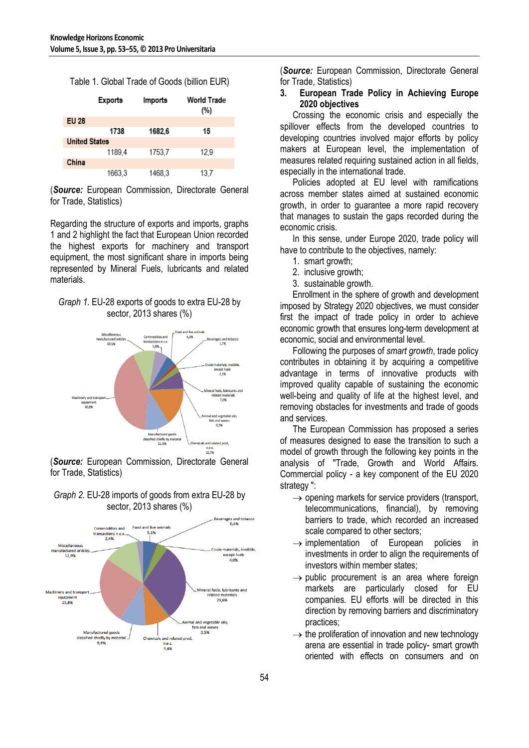| Table 1. Global Trade of Goods (billion EUR) |
|----------------------------------------------|
|----------------------------------------------|

|                      | Exports | Imports | World Trade<br>(%) |  |
|----------------------|---------|---------|--------------------|--|
| <b>EU 28</b>         |         |         |                    |  |
|                      | 1738    | 1682.6  | 15                 |  |
| <b>United States</b> |         |         |                    |  |
|                      | 1189.4  | 1753.7  | 12.9               |  |
| China                |         |         |                    |  |
|                      | 1663.3  | 1468.3  | 13.7               |  |

(*Source:* European Commission, Directorate General for Trade, Statistics)

Regarding the structure of exports and imports, graphs 1 and 2 highlight the fact that European Union recorded the highest exports for machinery and transport equipment, the most significant share in imports being represented by Mineral Fuels, lubricants and related materials.

# *Graph 1.* EU-28 exports of goods to extra EU-28 by sector, 2013 shares (%)



(*Source:* European Commission, Directorate General for Trade, Statistics)



## *Graph 2.* EU-28 imports of goods from extra EU-28 by sector, 2013 shares (%)

(*Source:* European Commission, Directorate General for Trade, Statistics)

## **3. European Trade Policy in Achieving Europe 2020 objectives**

Crossing the economic crisis and especially the spillover effects from the developed countries to developing countries involved major efforts by policy makers at European level, the implementation of measures related requiring sustained action in all fields, especially in the international trade.

Policies adopted at EU level with ramifications across member states aimed at sustained economic growth, in order to guarantee a more rapid recovery that manages to sustain the gaps recorded during the economic crisis.

In this sense, under Europe 2020, trade policy will have to contribute to the objectives, namely:

- 1. smart growth;
- 2. inclusive growth;
- 3. sustainable growth.

Enrollment in the sphere of growth and development imposed by Strategy 2020 objectives, we must consider first the impact of trade policy in order to achieve economic growth that ensures long-term development at economic, social and environmental level.

Following the purposes of *smart growth*, trade policy contributes in obtaining it by acquiring a competitive advantage in terms of innovative products with improved quality capable of sustaining the economic well-being and quality of life at the highest level, and removing obstacles for investments and trade of goods and services.

The European Commission has proposed a series of measures designed to ease the transition to such a model of growth through the following key points in the analysis of "Trade, Growth and World Affairs. Commercial policy - a key component of the EU 2020 strategy ":

- $\rightarrow$  opening markets for service providers (transport, telecommunications, financial), by removing barriers to trade, which recorded an increased scale compared to other sectors;
- $\rightarrow$  implementation of European policies in investments in order to align the requirements of investors within member states;
- $\rightarrow$  public procurement is an area where foreign markets are particularly closed for EU companies. EU efforts will be directed in this direction by removing barriers and discriminatory practices;
- $\rightarrow$  the proliferation of innovation and new technology arena are essential in trade policy- smart growth oriented with effects on consumers and on